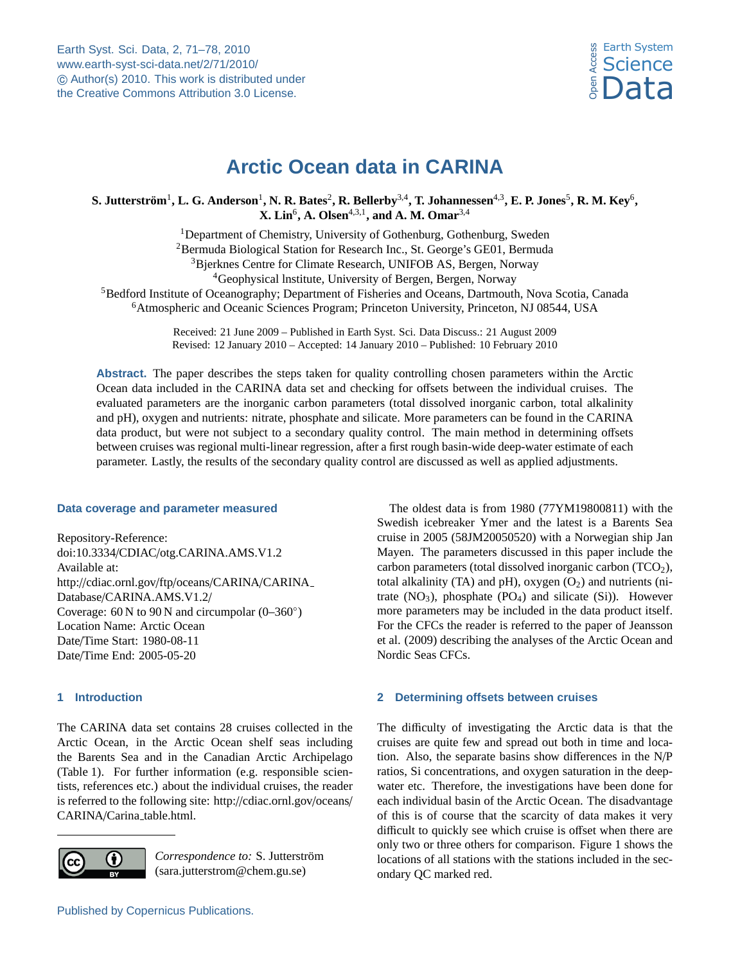

# **Arctic Ocean data in CARINA**

<span id="page-0-0"></span> ${\bf S.~Jutterström^1, L.~G.~Anderson^1, N.~R.~Bates^2, R.~Bellerby^{3,4}, T.~Johannessen^{4,3}, E.~P.~Jones^5, R.~M.~Key^6,}$ **X. Lin**<sup>6</sup> **, A. Olsen**4,3,1**, and A. M. Omar**3,4

<sup>1</sup>Department of Chemistry, University of Gothenburg, Gothenburg, Sweden <sup>2</sup>Bermuda Biological Station for Research Inc., St. George's GE01, Bermuda Bjerknes Centre for Climate Research, UNIFOB AS, Bergen, Norway Geophysical lnstitute, University of Bergen, Bergen, Norway Bedford Institute of Oceanography; Department of Fisheries and Oceans, Dartmouth, Nova Scotia, Canada Atmospheric and Oceanic Sciences Program; Princeton University, Princeton, NJ 08544, USA

> Received: 21 June 2009 – Published in Earth Syst. Sci. Data Discuss.: 21 August 2009 Revised: 12 January 2010 – Accepted: 14 January 2010 – Published: 10 February 2010

**Abstract.** The paper describes the steps taken for quality controlling chosen parameters within the Arctic Ocean data included in the CARINA data set and checking for offsets between the individual cruises. The evaluated parameters are the inorganic carbon parameters (total dissolved inorganic carbon, total alkalinity and pH), oxygen and nutrients: nitrate, phosphate and silicate. More parameters can be found in the CARINA data product, but were not subject to a secondary quality control. The main method in determining offsets between cruises was regional multi-linear regression, after a first rough basin-wide deep-water estimate of each parameter. Lastly, the results of the secondary quality control are discussed as well as applied adjustments.

# **Data coverage and parameter measured**

Repository-Reference: doi:10.3334/CDIAC/otg.CARINA.AMS.V1.2 Available at: http://[cdiac.ornl.gov](http://cdiac.ornl.gov/ftp/oceans/CARINA/CARINA_Database/CARINA.AMS.V1.2/)/ftp/oceans/CARINA/CARINA Database/[CARINA.AMS.V1.2](http://cdiac.ornl.gov/ftp/oceans/CARINA/CARINA_Database/CARINA.AMS.V1.2/)/ Coverage: 60 N to 90 N and circumpolar (0–360◦ ) Location Name: Arctic Ocean Date/Time Start: 1980-08-11 Date/Time End: 2005-05-20

# **1 Introduction**

The CARINA data set contains 28 cruises collected in the Arctic Ocean, in the Arctic Ocean shelf seas including the Barents Sea and in the Canadian Arctic Archipelago (Table 1). For further information (e.g. responsible scientists, references etc.) about the individual cruises, the reader is referred to the following site: http://[cdiac.ornl.gov](http://cdiac.ornl.gov/oceans/CARINA/Carina_table.html)/oceans/ CARINA/Carina\_[table.html.](http://cdiac.ornl.gov/oceans/CARINA/Carina_table.html)



Correspondence to: S. Jutterström (sara.jutterstrom@chem.gu.se)

Published by Copernicus Publications.

The oldest data is from 1980 (77YM19800811) with the Swedish icebreaker Ymer and the latest is a Barents Sea cruise in 2005 (58JM20050520) with a Norwegian ship Jan Mayen. The parameters discussed in this paper include the carbon parameters (total dissolved inorganic carbon  $(TCO<sub>2</sub>)$ , total alkalinity (TA) and pH), oxygen  $(O_2)$  and nutrients (nitrate  $(NO<sub>3</sub>)$ , phosphate  $(PO<sub>4</sub>)$  and silicate  $(S<sub>i</sub>)$ ). However more parameters may be included in the data product itself. For the CFCs the reader is referred to the paper of Jeansson et al. (2009) describing the analyses of the Arctic Ocean and Nordic Seas CFCs.

# **2 Determining offsets between cruises**

The difficulty of investigating the Arctic data is that the cruises are quite few and spread out both in time and location. Also, the separate basins show differences in the N/P ratios, Si concentrations, and oxygen saturation in the deepwater etc. Therefore, the investigations have been done for each individual basin of the Arctic Ocean. The disadvantage of this is of course that the scarcity of data makes it very difficult to quickly see which cruise is offset when there are only two or three others for comparison. Figure 1 shows the locations of all stations with the stations included in the secondary QC marked red.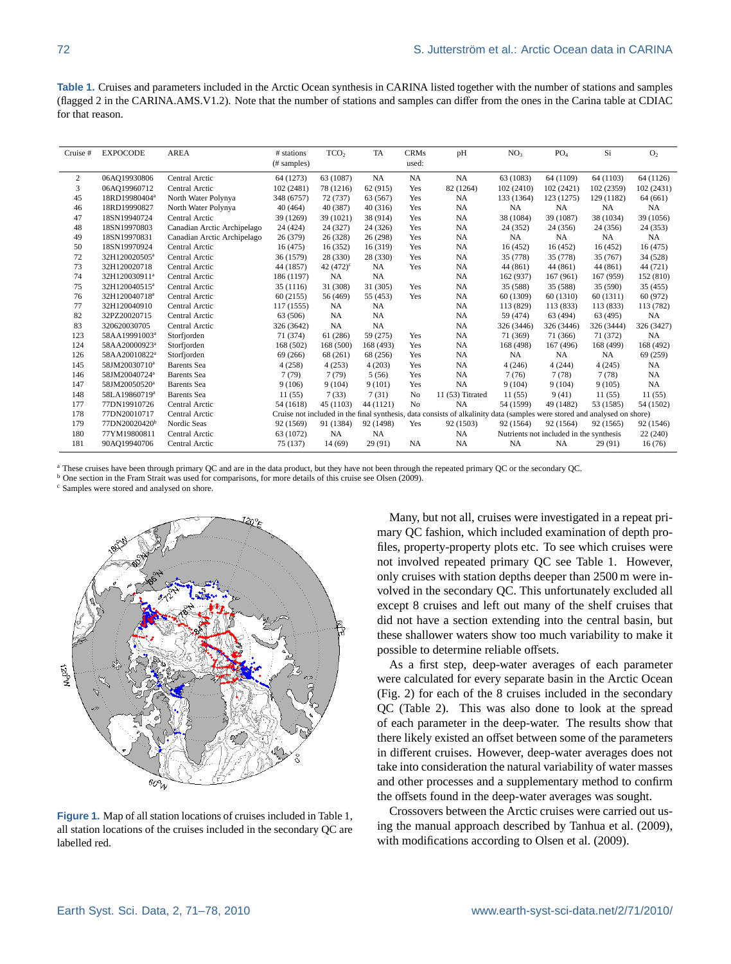**Table 1.** Cruises and parameters included in the Arctic Ocean synthesis in CARINA listed together with the number of stations and samples (flagged 2 in the CARINA.AMS.V1.2). Note that the number of stations and samples can differ from the ones in the Carina table at CDIAC for that reason.

| Cruise# | <b>EXPOCODE</b>           | <b>AREA</b>                 | # stations<br>(# samples) | TCO <sub>2</sub>   | TA<br><b>CRMs</b><br>pH<br>used: |           |                                                                                                                          | NO <sub>3</sub>                         | PO <sub>4</sub> | Si         | O <sub>2</sub> |
|---------|---------------------------|-----------------------------|---------------------------|--------------------|----------------------------------|-----------|--------------------------------------------------------------------------------------------------------------------------|-----------------------------------------|-----------------|------------|----------------|
| 2       | 06AQ19930806              | Central Arctic              | 64 (1273)                 | 63 (1087)          | <b>NA</b>                        | <b>NA</b> | NA                                                                                                                       | 63 (1083)                               | 64 (1109)       | 64 (1103)  | 64 (1126)      |
| 3       | 06AQ19960712              | Central Arctic              | 102 (2481)                | 78 (1216)          | 62 (915)                         | Yes       | 82 (1264)                                                                                                                | 102 (2410)                              | 102(2421)       | 102 (2359) | 102 (2431)     |
| 45      | 18RD19980404ª             | North Water Polynya         | 348 (6757)                | 72 (737)           | 63 (567)                         | Yes       | <b>NA</b>                                                                                                                | 133 (1364)                              | 123 (1275)      | 129 (1182) | 64 (661)       |
| 46      | 18RD19990827              | North Water Polynya         | 40 (464)                  | 40 (387)           | 40(316)                          | Yes       | <b>NA</b>                                                                                                                | <b>NA</b>                               | <b>NA</b>       | <b>NA</b>  | <b>NA</b>      |
| 47      | 18SN19940724              | Central Arctic              | 39 (1269)                 | 39 (1021)          | 38 (914)                         | Yes       | <b>NA</b>                                                                                                                | 38 (1084)                               | 39 (1087)       | 38 (1034)  | 39 (1056)      |
| 48      | 18SN19970803              | Canadian Arctic Archipelago | 24 (424)                  | 24 (327)           | 24 (326)                         | Yes       | NA                                                                                                                       | 24 (352)                                | 24 (356)        | 24 (356)   | 24 (353)       |
| 49      | 18SN19970831              | Canadian Arctic Archipelago | 26 (379)                  | 26 (328)           | 26 (298)                         | Yes       | <b>NA</b>                                                                                                                | <b>NA</b>                               | NA              | NA         | NA             |
| 50      | 18SN19970924              | Central Arctic              | 16(475)                   | 16(352)            | 16 (319)                         | Yes       | NA                                                                                                                       | 16 (452)                                | 16(452)         | 16 (452)   | 16(475)        |
| 72      | 32H120020505ª             | Central Arctic              | 36 (1579)                 | 28 (330)           | 28 (330)                         | Yes       | NA                                                                                                                       | 35 (778)                                | 35 (778)        | 35 (767)   | 34 (528)       |
| 73      | 32H120020718              | Central Arctic              | 44 (1857)                 | 42 $(472)^{\circ}$ | NA                               | Yes       | NA                                                                                                                       | 44 (861)                                | 44 (861)        | 44 (861)   | 44 (721)       |
| 74      | 32H120030911ª             | Central Arctic              | 186 (1197)                | <b>NA</b>          | NA                               |           | NA                                                                                                                       | 162 (937)                               | 167 (961)       | 167 (959)  | 152 (810)      |
| 75      | 32H120040515 <sup>a</sup> | Central Arctic              | 35 (1116)                 | 31 (308)           | 31 (305)                         | Yes       | <b>NA</b>                                                                                                                | 35 (588)                                | 35 (588)        | 35 (590)   | 35(455)        |
| 76      | 32H120040718 <sup>a</sup> | Central Arctic              | 60(2155)                  | 56 (469)           | 55 (453)                         | Yes       | <b>NA</b>                                                                                                                | 60 (1309)                               | 60 (1310)       | 60 (1311)  | 60 (972)       |
| 77      | 32H120040910              | Central Arctic              | 117 (1555)                | <b>NA</b>          | <b>NA</b>                        |           | <b>NA</b>                                                                                                                | 113 (829)                               | 113 (833)       | 113 (833)  | 113 (782)      |
| 82      | 32PZ20020715              | Central Arctic              | 63 (506)                  | NA                 | NA                               |           | NA                                                                                                                       | 59 (474)                                | 63 (494)        | 63 (495)   | NA             |
| 83      | 320620030705              | Central Arctic              | 326 (3642)                | NA                 | <b>NA</b>                        |           | <b>NA</b>                                                                                                                | 326 (3446)                              | 326 (3446)      | 326 (3444) | 326 (3427)     |
| 123     | 58AA19991003ª             | Storfjorden                 | 71 (374)                  | 61 (286)           | 59 (275)                         | Yes       | <b>NA</b>                                                                                                                | 71 (369)                                | 71 (366)        | 71 (372)   | <b>NA</b>      |
| 124     | 58AA20000923ª             | Storfjorden                 | 168 (502)                 | 168 (500)          | 168 (493)                        | Yes       | <b>NA</b>                                                                                                                | 168 (498)                               | 167 (496)       | 168 (499)  | 168 (492)      |
| 126     | 58AA20010822 <sup>a</sup> | Storfjorden                 | 69 (266)                  | 68 (261)           | 68 (256)                         | Yes       | NA                                                                                                                       | NA                                      | <b>NA</b>       | NA         | 69 (259)       |
| 145     | 58JM20030710ª             | <b>Barents</b> Sea          | 4(258)                    | 4(253)             | 4(203)                           | Yes       | <b>NA</b>                                                                                                                | 4(246)                                  | 4(244)          | 4(245)     | <b>NA</b>      |
| 146     | 58JM20040724ª             | <b>Barents</b> Sea          | 7(79)                     | 7(79)              | 5(56)                            | Yes       | <b>NA</b>                                                                                                                | 7(76)                                   | 7(78)           | 7(78)      | NA             |
| 147     | 58JM20050520 <sup>a</sup> | <b>Barents</b> Sea          | 9(106)                    | 9(104)             | 9(101)                           | Yes       | <b>NA</b>                                                                                                                | 9(104)                                  | 9(104)          | 9(105)     | <b>NA</b>      |
| 148     | 58LA19860719ª             | <b>Barents</b> Sea          | 11(55)                    | 7(33)              | 7(31)                            | No        | 11 (53) Titrated                                                                                                         | 11(55)                                  | 9(41)           | 11(55)     | 11(55)         |
| 177     | 77DN19910726              | Central Arctic              | 54 (1618)                 | 45 (1103)          | 44 (1121)                        | No        | <b>NA</b>                                                                                                                | 54 (1599)                               | 49 (1482)       | 53 (1585)  | 54 (1502)      |
| 178     | 77DN20010717              | Central Arctic              |                           |                    |                                  |           | Cruise not included in the final synthesis, data consists of alkalinity data (samples were stored and analysed on shore) |                                         |                 |            |                |
| 179     | 77DN20020420 <sup>b</sup> | Nordic Seas                 | 92 (1569)                 | 91 (1384)          | 92 (1498)                        | Yes       | 92 (1503)                                                                                                                | 92 (1564)                               | 92 (1564)       | 92 (1565)  | 92 (1546)      |
| 180     | 77YM19800811              | Central Arctic              | 63 (1072)                 | NA                 | <b>NA</b>                        |           | NA                                                                                                                       | Nutrients not included in the synthesis |                 |            | 22 (240)       |
| 181     | 90AQ19940706              | Central Arctic              | 75 (137)                  | 14(69)             | 29(91)                           | <b>NA</b> | NA                                                                                                                       | <b>NA</b>                               | <b>NA</b>       | 29(91)     | 16(76)         |

<sup>a</sup> These cruises have been through primary QC and are in the data product, but they have not been through the repeated primary QC or the secondary QC.

<sup>b</sup> One section in the Fram Strait was used for comparisons, for more details of this cruise see Olsen (2009).

<sup>c</sup> Samples were stored and analysed on shore.



**Figure 1.** Map of all station locations of cruises included in Table 1, all station locations of the cruises included in the secondary QC are labelled red.

Many, but not all, cruises were investigated in a repeat primary QC fashion, which included examination of depth profiles, property-property plots etc. To see which cruises were not involved repeated primary QC see Table 1. However, only cruises with station depths deeper than 2500 m were involved in the secondary QC. This unfortunately excluded all except 8 cruises and left out many of the shelf cruises that did not have a section extending into the central basin, but these shallower waters show too much variability to make it possible to determine reliable offsets.

As a first step, deep-water averages of each parameter were calculated for every separate basin in the Arctic Ocean (Fig. 2) for each of the 8 cruises included in the secondary QC (Table 2). This was also done to look at the spread of each parameter in the deep-water. The results show that there likely existed an offset between some of the parameters in different cruises. However, deep-water averages does not take into consideration the natural variability of water masses and other processes and a supplementary method to confirm the offsets found in the deep-water averages was sought.

Crossovers between the Arctic cruises were carried out using the manual approach described by Tanhua et al. (2009), with modifications according to Olsen et al. (2009).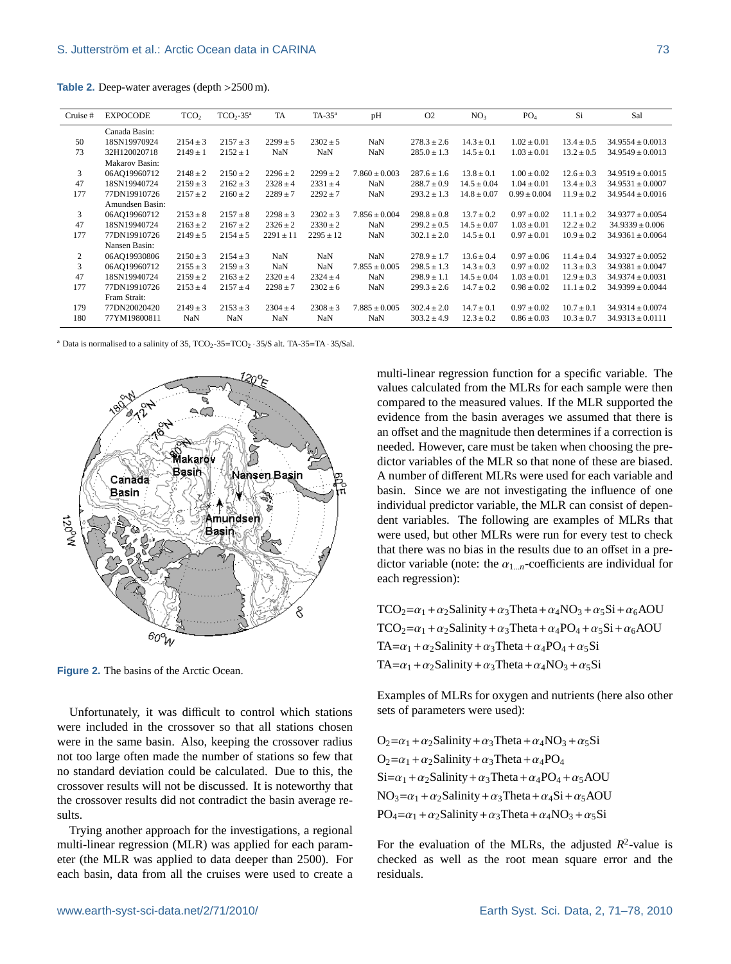**Table 2.** Deep-water averages (depth >2500 m).

| Cruise #       | <b>EXPOCODE</b> | TCO <sub>2</sub> | $TCO2-35a$   | <b>TA</b>     | $TA-35^a$     | pH                | O <sub>2</sub>  | NO <sub>3</sub> | PO <sub>4</sub>  | Si             | Sal                  |
|----------------|-----------------|------------------|--------------|---------------|---------------|-------------------|-----------------|-----------------|------------------|----------------|----------------------|
|                | Canada Basin:   |                  |              |               |               |                   |                 |                 |                  |                |                      |
| 50             | 18SN19970924    | $2154 \pm 3$     | $2157 \pm 3$ | $2299 \pm 5$  | $2302 \pm 5$  | NaN               | $278.3 \pm 2.6$ | $14.3 \pm 0.1$  | $1.02 \pm 0.01$  | $13.4 \pm 0.5$ | $34.9554 \pm 0.0013$ |
| 73             | 32H120020718    | $2149 \pm 1$     | $2152 \pm 1$ | NaN           | NaN           | NaN               | $285.0 \pm 1.3$ | $14.5 \pm 0.1$  | $1.03 \pm 0.01$  | $13.2 \pm 0.5$ | $34.9549 \pm 0.0013$ |
|                | Makarov Basin:  |                  |              |               |               |                   |                 |                 |                  |                |                      |
| 3              | 06AQ19960712    | $2148 \pm 2$     | $2150 \pm 2$ | $2296 \pm 2$  | $2299 \pm 2$  | $7.860 \pm 0.003$ | $287.6 \pm 1.6$ | $13.8 \pm 0.1$  | $1.00 \pm 0.02$  | $12.6 \pm 0.3$ | $34.9519 \pm 0.0015$ |
| 47             | 18SN19940724    | $2159 \pm 3$     | $2162 \pm 3$ | $2328 \pm 4$  | $2331 \pm 4$  | NaN               | $288.7 \pm 0.9$ | $14.5 \pm 0.04$ | $1.04 \pm 0.01$  | $13.4 \pm 0.3$ | $34.9531 \pm 0.0007$ |
| 177            | 77DN19910726    | $2157 \pm 2$     | $2160 \pm 2$ | $2289 \pm 7$  | $2292 \pm 7$  | NaN               | $293.2 \pm 1.3$ | $14.8 \pm 0.07$ | $0.99 \pm 0.004$ | $11.9 \pm 0.2$ | $34.9544 \pm 0.0016$ |
|                | Amundsen Basin: |                  |              |               |               |                   |                 |                 |                  |                |                      |
| 3              | 06AQ19960712    | $2153 \pm 8$     | $2157 \pm 8$ | $2298 \pm 3$  | $2302 \pm 3$  | $7.856 \pm 0.004$ | $298.8 \pm 0.8$ | $13.7 \pm 0.2$  | $0.97 \pm 0.02$  | $11.1 \pm 0.2$ | $34.9377 \pm 0.0054$ |
| 47             | 18SN19940724    | $2163 \pm 2$     | $2167 \pm 2$ | $2326 \pm 2$  | $2330 \pm 2$  | NaN               | $299.2 \pm 0.5$ | $14.5 \pm 0.07$ | $1.03 \pm 0.01$  | $12.2 \pm 0.2$ | $34.9339 \pm 0.006$  |
| 177            | 77DN19910726    | $2149 \pm 5$     | $2154 \pm 5$ | $2291 \pm 11$ | $2295 \pm 12$ | NaN               | $302.1 \pm 2.0$ | $14.5 \pm 0.1$  | $0.97 \pm 0.01$  | $10.9 \pm 0.2$ | $34.9361 \pm 0.0064$ |
|                | Nansen Basin:   |                  |              |               |               |                   |                 |                 |                  |                |                      |
| $\overline{c}$ | 06AQ19930806    | $2150 \pm 3$     | $2154 \pm 3$ | <b>NaN</b>    | NaN           | NaN               | $278.9 \pm 1.7$ | $13.6 \pm 0.4$  | $0.97 \pm 0.06$  | $11.4 \pm 0.4$ | $34.9327 \pm 0.0052$ |
| 3              | 06AQ19960712    | $2155 \pm 3$     | $2159 \pm 3$ | <b>NaN</b>    | NaN           | $7.855 \pm 0.005$ | $298.5 \pm 1.3$ | $14.3 \pm 0.3$  | $0.97 \pm 0.02$  | $11.3 \pm 0.3$ | $34.9381 \pm 0.0047$ |
| 47             | 18SN19940724    | $2159 \pm 2$     | $2163 \pm 2$ | $2320 \pm 4$  | $2324 \pm 4$  | NaN               | $298.9 \pm 1.1$ | $14.5 \pm 0.04$ | $1.03 \pm 0.01$  | $12.9 \pm 0.3$ | $34.9374 \pm 0.0031$ |
| 177            | 77DN19910726    | $2153 \pm 4$     | $2157 \pm 4$ | $2298 \pm 7$  | $2302 \pm 6$  | NaN               | $299.3 \pm 2.6$ | $14.7 \pm 0.2$  | $0.98 \pm 0.02$  | $11.1 \pm 0.2$ | $34.9399 \pm 0.0044$ |
|                | Fram Strait:    |                  |              |               |               |                   |                 |                 |                  |                |                      |
| 179            | 77DN20020420    | $2149 \pm 3$     | $2153 \pm 3$ | $2304 \pm 4$  | $2308 \pm 3$  | $7.885 \pm 0.005$ | $302.4 \pm 2.0$ | $14.7 \pm 0.1$  | $0.97 \pm 0.02$  | $10.7 \pm 0.1$ | $34.9314 \pm 0.0074$ |
| 180            | 77YM19800811    | NaN              | <b>NaN</b>   | <b>NaN</b>    | NaN           | NaN               | $303.2 \pm 4.9$ | $12.3 \pm 0.2$  | $0.86 \pm 0.03$  | $10.3 \pm 0.7$ | $34.9313 \pm 0.0111$ |

<sup>a</sup> Data is normalised to a salinity of 35,  $TCO_2-35=TCO_2 \cdot 35/S$  alt. TA-35=TA  $\cdot$  35/Sal.



Figure 2. The basins of the Arctic Ocean.

Unfortunately, it was difficult to control which stations were included in the crossover so that all stations chosen were in the same basin. Also, keeping the crossover radius not too large often made the number of stations so few that no standard deviation could be calculated. Due to this, the crossover results will not be discussed. It is noteworthy that the crossover results did not contradict the basin average results.

Trying another approach for the investigations, a regional multi-linear regression (MLR) was applied for each parameter (the MLR was applied to data deeper than 2500). For each basin, data from all the cruises were used to create a multi-linear regression function for a specific variable. The values calculated from the MLRs for each sample were then compared to the measured values. If the MLR supported the evidence from the basin averages we assumed that there is an offset and the magnitude then determines if a correction is needed. However, care must be taken when choosing the predictor variables of the MLR so that none of these are biased. A number of different MLRs were used for each variable and basin. Since we are not investigating the influence of one individual predictor variable, the MLR can consist of dependent variables. The following are examples of MLRs that were used, but other MLRs were run for every test to check that there was no bias in the results due to an offset in a predictor variable (note: the  $\alpha_{1...n}$ -coefficients are individual for each regression):

 $TCO_2=\alpha_1+\alpha_2S$ alinity +  $\alpha_3T$ heta +  $\alpha_4NO_3 + \alpha_5Si + \alpha_6AOU$  $TCO_2 = \alpha_1 + \alpha_2$ Salinity +  $\alpha_3$ Theta +  $\alpha_4$ PO<sub>4</sub> +  $\alpha_5$ Si +  $\alpha_6$ AOU TA= $\alpha_1 + \alpha_2$ Salinity +  $\alpha_3$ Theta +  $\alpha_4$ PO<sub>4</sub> +  $\alpha_5$ Si TA= $\alpha_1 + \alpha_2$ Salinity +  $\alpha_3$ Theta +  $\alpha_4$ NO<sub>3</sub> +  $\alpha_5$ Si

Examples of MLRs for oxygen and nutrients (here also other sets of parameters were used):

 $O_2 = \alpha_1 + \alpha_2$ Salinity +  $\alpha_3$ Theta +  $\alpha_4$ NO<sub>3</sub> +  $\alpha_5$ Si  $O_2 = \alpha_1 + \alpha_2$ Salinity +  $\alpha_3$ Theta +  $\alpha_4$ PO<sub>4</sub>  $Si=\alpha_1 + \alpha_2$ Salinity +  $\alpha_3$ Theta +  $\alpha_4$ PO<sub>4</sub> +  $\alpha_5$ AOU  $NO_3 = \alpha_1 + \alpha_2$ Salinity +  $\alpha_3$ Theta +  $\alpha_4$ Si +  $\alpha_5$ AOU  $PO_4 = \alpha_1 + \alpha_2$ Salinity +  $\alpha_3$ Theta +  $\alpha_4$ NO<sub>3</sub> +  $\alpha_5$ Si

For the evaluation of the MLRs, the adjusted  $R^2$ -value is checked as well as the root mean square error and the residuals.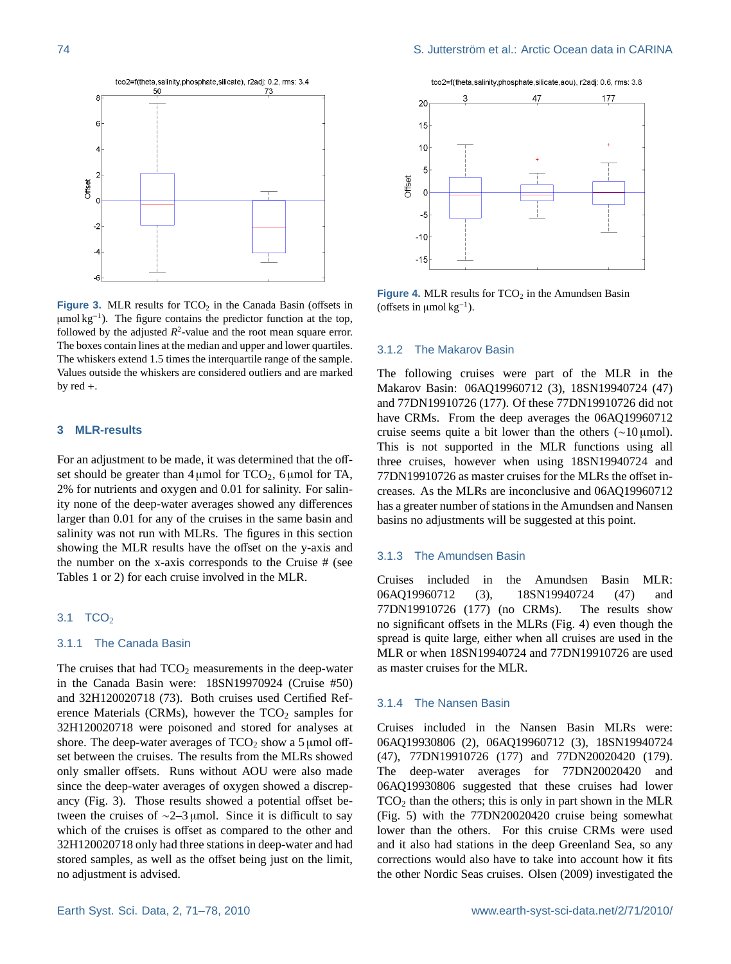

**Figure 3.** MLR results for TCO<sub>2</sub> in the Canada Basin (offsets in µmol kg<sup>-1</sup>). The figure contains the predictor function at the top, followed by the adjusted  $R^2$ -value and the root mean square error. The boxes contain lines at the median and upper and lower quartiles. The whiskers extend 1.5 times the interquartile range of the sample. Values outside the whiskers are considered outliers and are marked by red +.

#### **3 MLR-results**

For an adjustment to be made, it was determined that the offset should be greater than  $4 \mu$ mol for TCO<sub>2</sub>, 6  $\mu$ mol for TA, 2% for nutrients and oxygen and 0.01 for salinity. For salinity none of the deep-water averages showed any differences larger than 0.01 for any of the cruises in the same basin and salinity was not run with MLRs. The figures in this section showing the MLR results have the offset on the y-axis and the number on the x-axis corresponds to the Cruise # (see Tables 1 or 2) for each cruise involved in the MLR.

# $3.1$  TCO<sub>2</sub>

# 3.1.1 The Canada Basin

The cruises that had  $TCO<sub>2</sub>$  measurements in the deep-water in the Canada Basin were: 18SN19970924 (Cruise #50) and 32H120020718 (73). Both cruises used Certified Reference Materials (CRMs), however the  $TCO<sub>2</sub>$  samples for 32H120020718 were poisoned and stored for analyses at shore. The deep-water averages of  $TCO<sub>2</sub>$  show a 5 µmol offset between the cruises. The results from the MLRs showed only smaller offsets. Runs without AOU were also made since the deep-water averages of oxygen showed a discrepancy (Fig. 3). Those results showed a potential offset between the cruises of  $\sim$ 2–3 µmol. Since it is difficult to say which of the cruises is offset as compared to the other and 32H120020718 only had three stations in deep-water and had stored samples, as well as the offset being just on the limit, no adjustment is advised.



**Figure 4.** MLR results for  $TCO<sub>2</sub>$  in the Amundsen Basin (offsets in  $\mu$ mol kg<sup>-1</sup>).

#### 3.1.2 The Makarov Basin

The following cruises were part of the MLR in the Makarov Basin: 06AQ19960712 (3), 18SN19940724 (47) and 77DN19910726 (177). Of these 77DN19910726 did not have CRMs. From the deep averages the 06AQ19960712 cruise seems quite a bit lower than the others ( $\sim$ 10 µmol). This is not supported in the MLR functions using all three cruises, however when using 18SN19940724 and 77DN19910726 as master cruises for the MLRs the offset increases. As the MLRs are inconclusive and 06AQ19960712 has a greater number of stations in the Amundsen and Nansen basins no adjustments will be suggested at this point.

#### 3.1.3 The Amundsen Basin

Cruises included in the Amundsen Basin MLR: 06AQ19960712 (3), 18SN19940724 (47) and 77DN19910726 (177) (no CRMs). The results show no significant offsets in the MLRs (Fig. 4) even though the spread is quite large, either when all cruises are used in the MLR or when 18SN19940724 and 77DN19910726 are used as master cruises for the MLR.

#### 3.1.4 The Nansen Basin

Cruises included in the Nansen Basin MLRs were: 06AQ19930806 (2), 06AQ19960712 (3), 18SN19940724 (47), 77DN19910726 (177) and 77DN20020420 (179). The deep-water averages for 77DN20020420 and 06AQ19930806 suggested that these cruises had lower  $TCO<sub>2</sub>$  than the others; this is only in part shown in the MLR (Fig. 5) with the 77DN20020420 cruise being somewhat lower than the others. For this cruise CRMs were used and it also had stations in the deep Greenland Sea, so any corrections would also have to take into account how it fits the other Nordic Seas cruises. Olsen (2009) investigated the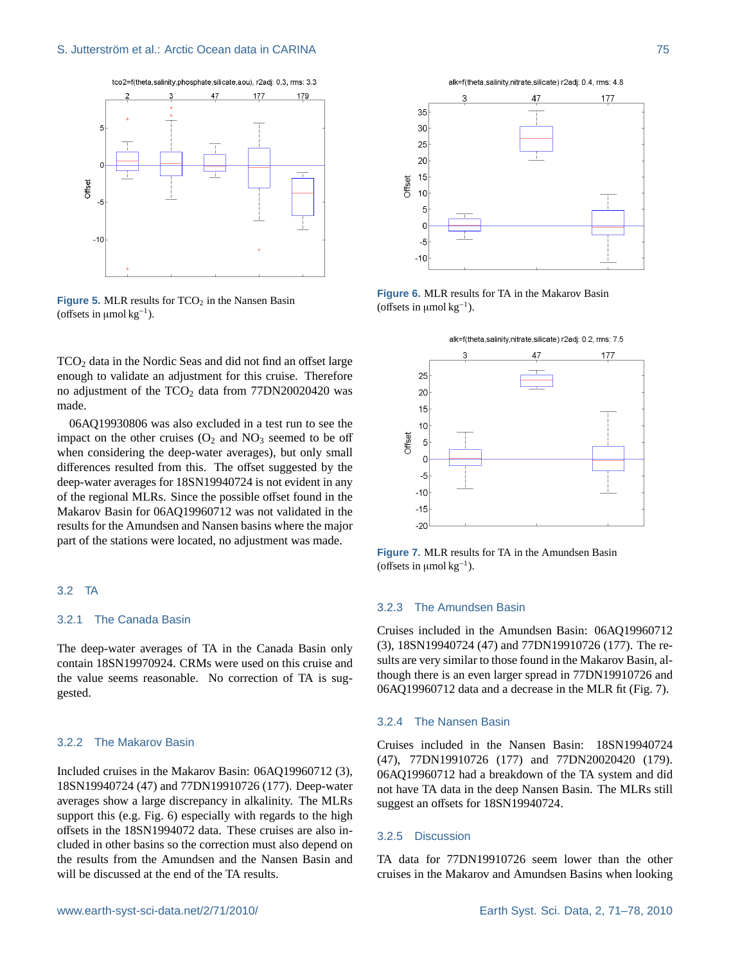

**Figure 5.** MLR results for  $TCO<sub>2</sub>$  in the Nansen Basin (offsets in  $\mu$ mol kg<sup>-1</sup>).

 $TCO<sub>2</sub>$  data in the Nordic Seas and did not find an offset large enough to validate an adjustment for this cruise. Therefore no adjustment of the  $TCO<sub>2</sub>$  data from 77DN20020420 was made.

06AQ19930806 was also excluded in a test run to see the impact on the other cruises  $(O_2 \text{ and } NO_3 \text{ seemed to be off})$ when considering the deep-water averages), but only small differences resulted from this. The offset suggested by the deep-water averages for 18SN19940724 is not evident in any of the regional MLRs. Since the possible offset found in the Makarov Basin for 06AQ19960712 was not validated in the results for the Amundsen and Nansen basins where the major part of the stations were located, no adjustment was made.

## 3.2 TA

# 3.2.1 The Canada Basin

The deep-water averages of TA in the Canada Basin only contain 18SN19970924. CRMs were used on this cruise and the value seems reasonable. No correction of TA is suggested.

# 3.2.2 The Makarov Basin

Included cruises in the Makarov Basin: 06AQ19960712 (3), 18SN19940724 (47) and 77DN19910726 (177). Deep-water averages show a large discrepancy in alkalinity. The MLRs support this (e.g. Fig. 6) especially with regards to the high offsets in the 18SN1994072 data. These cruises are also included in other basins so the correction must also depend on the results from the Amundsen and the Nansen Basin and will be discussed at the end of the TA results.



**Figure 6.** MLR results for TA in the Makarov Basin (offsets in  $\mu$ mol kg<sup>-1</sup>).



**Figure 7.** MLR results for TA in the Amundsen Basin (offsets in  $\mu$ mol kg<sup>-1</sup>).

## 3.2.3 The Amundsen Basin

Cruises included in the Amundsen Basin: 06AQ19960712 (3), 18SN19940724 (47) and 77DN19910726 (177). The results are very similar to those found in the Makarov Basin, although there is an even larger spread in 77DN19910726 and 06AQ19960712 data and a decrease in the MLR fit (Fig. 7).

#### 3.2.4 The Nansen Basin

Cruises included in the Nansen Basin: 18SN19940724 (47), 77DN19910726 (177) and 77DN20020420 (179). 06AQ19960712 had a breakdown of the TA system and did not have TA data in the deep Nansen Basin. The MLRs still suggest an offsets for 18SN19940724.

#### 3.2.5 Discussion

TA data for 77DN19910726 seem lower than the other cruises in the Makarov and Amundsen Basins when looking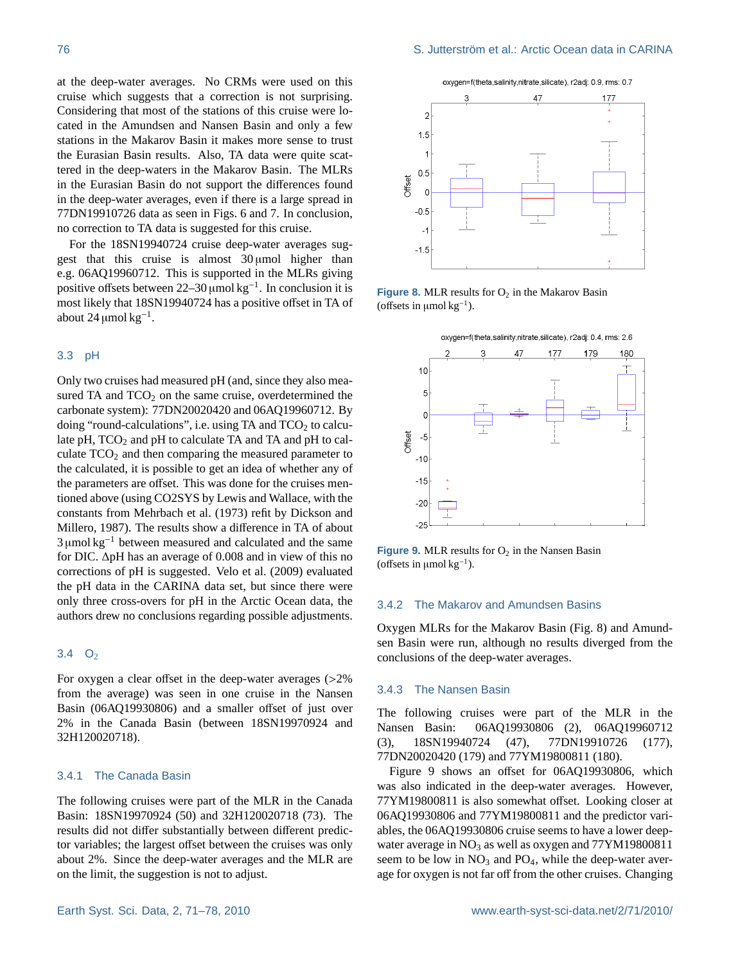at the deep-water averages. No CRMs were used on this cruise which suggests that a correction is not surprising. Considering that most of the stations of this cruise were located in the Amundsen and Nansen Basin and only a few stations in the Makarov Basin it makes more sense to trust the Eurasian Basin results. Also, TA data were quite scattered in the deep-waters in the Makarov Basin. The MLRs in the Eurasian Basin do not support the differences found in the deep-water averages, even if there is a large spread in 77DN19910726 data as seen in Figs. 6 and 7. In conclusion, no correction to TA data is suggested for this cruise.

For the 18SN19940724 cruise deep-water averages suggest that this cruise is almost  $30 \mu$ mol higher than e.g. 06AQ19960712. This is supported in the MLRs giving positive offsets between 22–30 µmol  $kg^{-1}$ . In conclusion it is most likely that 18SN19940724 has a positive offset in TA of about 24 µmol  $kg^{-1}$ .

#### 3.3 pH

Only two cruises had measured pH (and, since they also measured TA and  $TCO<sub>2</sub>$  on the same cruise, overdetermined the carbonate system): 77DN20020420 and 06AQ19960712. By doing "round-calculations", i.e. using TA and  $TCO<sub>2</sub>$  to calculate  $pH$ ,  $TCO<sub>2</sub>$  and  $pH$  to calculate TA and TA and  $pH$  to calculate  $TCO<sub>2</sub>$  and then comparing the measured parameter to the calculated, it is possible to get an idea of whether any of the parameters are offset. This was done for the cruises mentioned above (using CO2SYS by Lewis and Wallace, with the constants from Mehrbach et al. (1973) refit by Dickson and Millero, 1987). The results show a difference in TA of about  $3 \mu$ mol kg<sup>-1</sup> between measured and calculated and the same for DIC. ∆pH has an average of 0.008 and in view of this no corrections of pH is suggested. Velo et al. (2009) evaluated the pH data in the CARINA data set, but since there were only three cross-overs for pH in the Arctic Ocean data, the authors drew no conclusions regarding possible adjustments.

# 3.4  $O_2$

For oxygen a clear offset in the deep-water averages (>2% from the average) was seen in one cruise in the Nansen Basin (06AQ19930806) and a smaller offset of just over 2% in the Canada Basin (between 18SN19970924 and 32H120020718).

## 3.4.1 The Canada Basin

The following cruises were part of the MLR in the Canada Basin: 18SN19970924 (50) and 32H120020718 (73). The results did not differ substantially between different predictor variables; the largest offset between the cruises was only about 2%. Since the deep-water averages and the MLR are on the limit, the suggestion is not to adjust.



**Figure 8.** MLR results for  $O<sub>2</sub>$  in the Makarov Basin (offsets in  $\mu$ mol kg<sup>-1</sup>).



**Figure 9.** MLR results for  $O_2$  in the Nansen Basin (offsets in  $\mu$ mol kg<sup>-1</sup>).

# 3.4.2 The Makarov and Amundsen Basins

Oxygen MLRs for the Makarov Basin (Fig. 8) and Amundsen Basin were run, although no results diverged from the conclusions of the deep-water averages.

#### 3.4.3 The Nansen Basin

The following cruises were part of the MLR in the Nansen Basin: 06AQ19930806 (2), 06AQ19960712 (3), 18SN19940724 (47), 77DN19910726 (177), 77DN20020420 (179) and 77YM19800811 (180).

Figure 9 shows an offset for 06AQ19930806, which was also indicated in the deep-water averages. However, 77YM19800811 is also somewhat offset. Looking closer at 06AQ19930806 and 77YM19800811 and the predictor variables, the 06AQ19930806 cruise seems to have a lower deepwater average in  $NO_3$  as well as oxygen and  $77YM19800811$ seem to be low in  $NO<sub>3</sub>$  and  $PO<sub>4</sub>$ , while the deep-water average for oxygen is not far off from the other cruises. Changing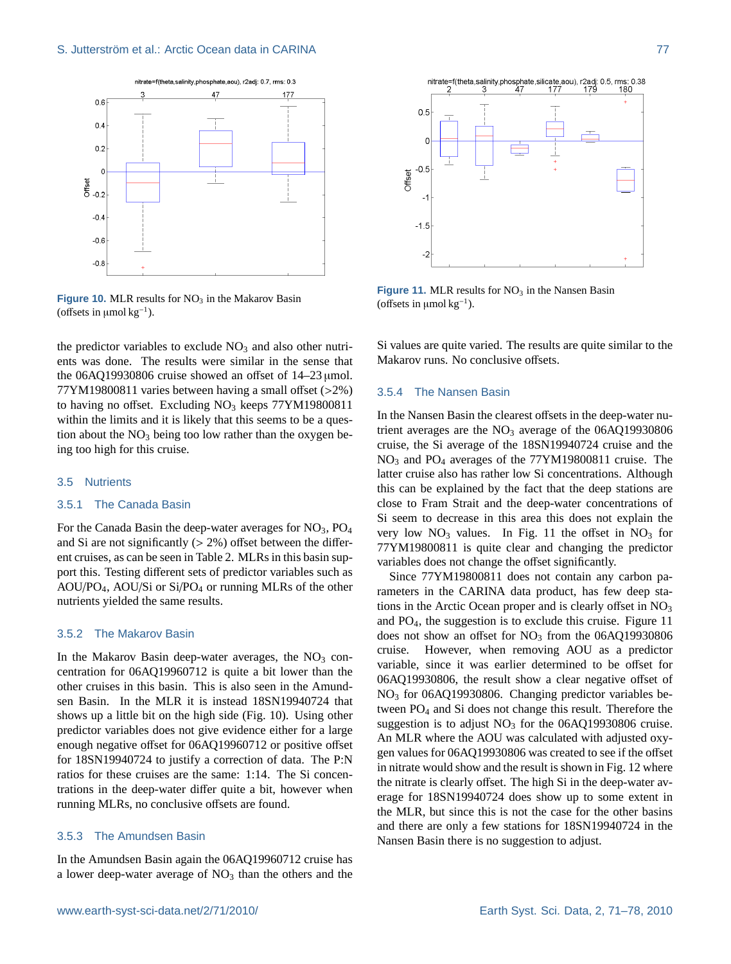

**Figure 10.** MLR results for  $NO<sub>3</sub>$  in the Makarov Basin (offsets in  $\mu$ mol kg<sup>-1</sup>).

the predictor variables to exclude  $NO<sub>3</sub>$  and also other nutrients was done. The results were similar in the sense that the 06AQ19930806 cruise showed an offset of  $14-23 \mu$  umol. 77YM19800811 varies between having a small offset (>2%) to having no offset. Excluding NO<sub>3</sub> keeps 77YM19800811 within the limits and it is likely that this seems to be a question about the  $NO<sub>3</sub>$  being too low rather than the oxygen being too high for this cruise.

## 3.5 Nutrients

# 3.5.1 The Canada Basin

For the Canada Basin the deep-water averages for  $NO<sub>3</sub>$ ,  $PO<sub>4</sub>$ and Si are not significantly  $(2\%)$  offset between the different cruises, as can be seen in Table 2. MLRs in this basin support this. Testing different sets of predictor variables such as  $AOU/PO<sub>4</sub>, AOU/Si or Si/PO<sub>4</sub> or running MLRs of the other$ nutrients yielded the same results.

## 3.5.2 The Makarov Basin

In the Makarov Basin deep-water averages, the  $NO<sub>3</sub>$  concentration for 06AQ19960712 is quite a bit lower than the other cruises in this basin. This is also seen in the Amundsen Basin. In the MLR it is instead 18SN19940724 that shows up a little bit on the high side (Fig. 10). Using other predictor variables does not give evidence either for a large enough negative offset for 06AQ19960712 or positive offset for 18SN19940724 to justify a correction of data. The P:N ratios for these cruises are the same: 1:14. The Si concentrations in the deep-water differ quite a bit, however when running MLRs, no conclusive offsets are found.

# 3.5.3 The Amundsen Basin

In the Amundsen Basin again the 06AQ19960712 cruise has a lower deep-water average of  $NO<sub>3</sub>$  than the others and the



**Figure 11. MLR results for NO<sub>3</sub> in the Nansen Basin** (offsets in  $\mu$ mol kg<sup>-1</sup>).

Si values are quite varied. The results are quite similar to the Makarov runs. No conclusive offsets.

#### 3.5.4 The Nansen Basin

In the Nansen Basin the clearest offsets in the deep-water nutrient averages are the  $NO<sub>3</sub>$  average of the 06AQ19930806 cruise, the Si average of the 18SN19940724 cruise and the NO<sup>3</sup> and PO<sup>4</sup> averages of the 77YM19800811 cruise. The latter cruise also has rather low Si concentrations. Although this can be explained by the fact that the deep stations are close to Fram Strait and the deep-water concentrations of Si seem to decrease in this area this does not explain the very low  $NO_3$  values. In Fig. 11 the offset in  $NO_3$  for 77YM19800811 is quite clear and changing the predictor variables does not change the offset significantly.

Since 77YM19800811 does not contain any carbon parameters in the CARINA data product, has few deep stations in the Arctic Ocean proper and is clearly offset in  $NO<sub>3</sub>$ and PO4, the suggestion is to exclude this cruise. Figure 11 does not show an offset for  $NO<sub>3</sub>$  from the 06AQ19930806 cruise. However, when removing AOU as a predictor variable, since it was earlier determined to be offset for 06AQ19930806, the result show a clear negative offset of NO<sub>3</sub> for 06AQ19930806. Changing predictor variables between PO<sup>4</sup> and Si does not change this result. Therefore the suggestion is to adjust  $NO<sub>3</sub>$  for the 06AQ19930806 cruise. An MLR where the AOU was calculated with adjusted oxygen values for 06AQ19930806 was created to see if the offset in nitrate would show and the result is shown in Fig. 12 where the nitrate is clearly offset. The high Si in the deep-water average for 18SN19940724 does show up to some extent in the MLR, but since this is not the case for the other basins and there are only a few stations for 18SN19940724 in the Nansen Basin there is no suggestion to adjust.